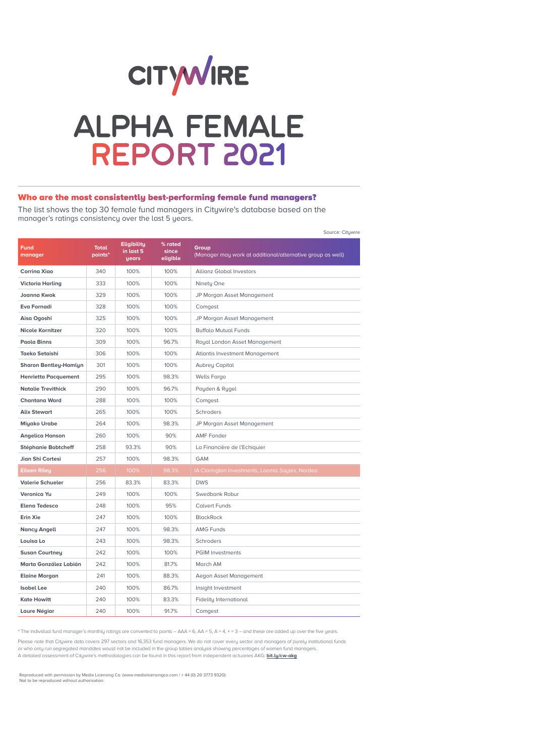

# **ALPHA FEMALE REPORT 2021**

# Who are the most consistently best-performing female fund managers?

The list shows the top 30 female fund managers in Citywire's database based on the manager's ratings consistency over the last 5 years.

Source: Citywire

| <b>Fund</b><br>manager       | <b>Total</b><br>points* | <b>Eligibility</b><br>in last 5<br>years | % rated<br>since<br>eligible | Group<br>(Manager may work at additional/alternative group as well) |
|------------------------------|-------------------------|------------------------------------------|------------------------------|---------------------------------------------------------------------|
| <b>Corring Xigo</b>          | 340                     | 100%                                     | 100%                         | <b>Allianz Global Investors</b>                                     |
| <b>Victoria Harling</b>      | 333                     | 100%                                     | 100%                         | Ninety One                                                          |
| <b>Joanna Kwok</b>           | 329                     | 100%                                     | 100%                         | JP Morgan Asset Management                                          |
| <b>Eva Fornadi</b>           | 328                     | 100%                                     | 100%                         | Comgest                                                             |
| Aisa Ogoshi                  | 325                     | 100%                                     | 100%                         | JP Morgan Asset Management                                          |
| <b>Nicole Kornitzer</b>      | 320                     | 100%                                     | 100%                         | <b>Buffalo Mutual Funds</b>                                         |
| <b>Paola Binns</b>           | 309                     | 100%                                     | 96.7%                        | Royal London Asset Management                                       |
| <b>Taeko Setaishi</b>        | 306                     | 100%                                     | 100%                         | Atlantis Investment Management                                      |
| <b>Sharon Bentley-Hamlyn</b> | 301                     | 100%                                     | 100%                         | Aubrey Capital                                                      |
| <b>Henrietta Pacquement</b>  | 295                     | 100%                                     | 98.3%                        | <b>Wells Fargo</b>                                                  |
| <b>Natalie Trevithick</b>    | 290                     | 100%                                     | 96.7%                        | Payden & Rygel                                                      |
| <b>Chantana Ward</b>         | 288                     | 100%                                     | 100%                         | Comgest                                                             |
| <b>Alix Stewart</b>          | 265                     | 100%                                     | 100%                         | Schroders                                                           |
| <b>Miyako Urabe</b>          | 264                     | 100%                                     | 98.3%                        | JP Morgan Asset Management                                          |
| <b>Angelica Hanson</b>       | 260                     | 100%                                     | 90%                          | <b>AMF</b> Fonder                                                   |
| <b>Stéphanie Bobtcheff</b>   | 258                     | 93.3%                                    | 90%                          | La Financière de l'Echiquier                                        |
| Jian Shi Cortesi             | 257                     | 100%                                     | 98.3%                        | <b>GAM</b>                                                          |
| <b>Eileen Riley</b>          | 256                     | 100%                                     | 98.3%                        | IA Clarington Investments, Loomis Sayles, Nordea                    |
| <b>Valerie Schueler</b>      | 256                     | 83.3%                                    | 83.3%                        | <b>DWS</b>                                                          |
| <b>Veronica Yu</b>           | 249                     | 100%                                     | 100%                         | Swedbank Robur                                                      |
| <b>Elena Tedesco</b>         | 248                     | 100%                                     | 95%                          | <b>Calvert Funds</b>                                                |
| <b>Erin Xie</b>              | 247                     | 100%                                     | 100%                         | <b>BlackRock</b>                                                    |
| <b>Nancy Angell</b>          | 247                     | 100%                                     | 98.3%                        | <b>AMG Funds</b>                                                    |
| Louisa Lo                    | 243                     | 100%                                     | 98.3%                        | Schroders                                                           |
| <b>Susan Courtney</b>        | 242                     | 100%                                     | 100%                         | <b>PGIM Investments</b>                                             |
| Marta González Labián        | 242                     | 100%                                     | 81.7%                        | March AM                                                            |
| <b>Elaine Morgan</b>         | 241                     | 100%                                     | 88.3%                        | Aegon Asset Management                                              |
| <b>Isobel Lee</b>            | 240                     | 100%                                     | 86.7%                        | Insight Investment                                                  |
| <b>Kate Howitt</b>           | 240                     | 100%                                     | 83.3%                        | Fidelity International                                              |
| Laure Négiar                 | 240                     | 100%                                     | 91.7%                        | Comgest                                                             |

\* The individual fund manager's monthly ratings are converted to points – AAA = 6, AA = 5, A = 4, + = 3 – and these are added up over the five years.

Please note that Citywire data covers 297 sectors and 16,353 fund managers. We do not cover every sector and managers of purely institutional funds or who only run segregated mandates would not be included in the group tables analysis showing percentages of women fund managers. A detailed assessment of Citywire's methodologies can be found in this report from independent actuaries AKG: **bit.ly/cw-akg**